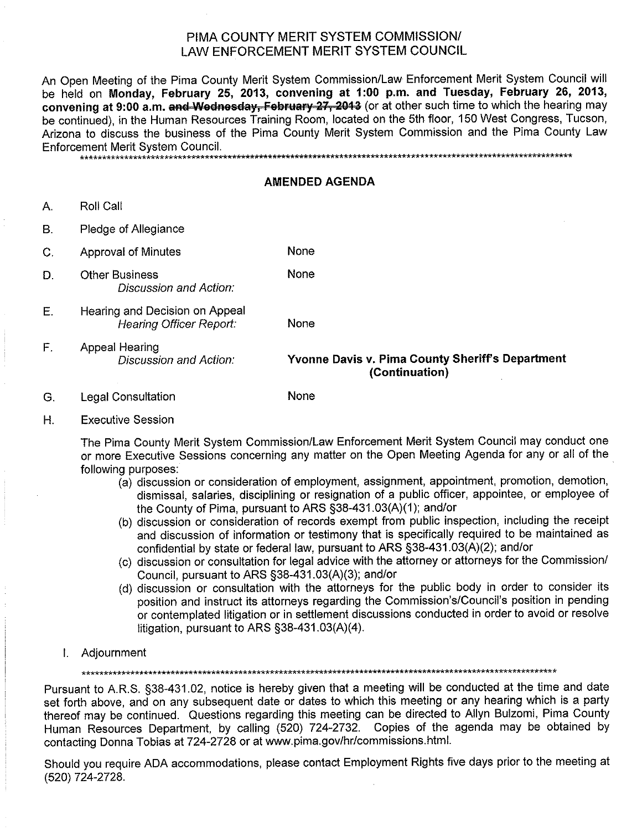## PIMA COUNTY MERIT SYSTEM COMMISSION/ LAW ENFORCEMENT MERIT SYSTEM COUNCIL

An Open Meeting of the Pima County Merit System Commission/Law Enforcement Merit System Council will be held on Monday, February 25, 2013, convening at 1:00 p.m. and Tuesday, February 26, 2013, convening at 9:00 a.m. and Wednesday, February 27, 2013 (or at other such time to which the hearing may be continued), in the Human Resources Training Room, located on the 5th floor, 150 West Congress, Tucson, Arizona to discuss the business of the Pima County Merit System Commission and the Pima County Law Enforcement Merit System Council.

\*\*\*\*\*\*\*\*\*\*\*\*\*\*\*\*\*\*\*\*\*\*\*\*\*\*\*\*\*

## **AMENDED AGENDA**

- $A_{n}$ **Roll Call**
- **B.** Pledge of Allegiance
- None  $\overline{C}$ . **Approval of Minutes**
- **Other Business** D. Discussion and Action:
- Hearing and Decision on Appeal Ε. Hearing Officer Report:

None

None

None

 $F_{\perp}$ Appeal Hearing Discussion and Action:

Yvonne Davis v. Pima County Sheriff's Department (Continuation)

- **Legal Consultation** G.
- $H_{\cdot}$ **Executive Session**

The Pima County Merit System Commission/Law Enforcement Merit System Council may conduct one or more Executive Sessions concerning any matter on the Open Meeting Agenda for any or all of the following purposes:

- (a) discussion or consideration of employment, assignment, appointment, promotion, demotion, dismissal, salaries, disciplining or resignation of a public officer, appointee, or employee of the County of Pima, pursuant to ARS §38-431.03(A)(1); and/or
- (b) discussion or consideration of records exempt from public inspection, including the receipt and discussion of information or testimony that is specifically required to be maintained as confidential by state or federal law, pursuant to ARS §38-431.03(A)(2); and/or
- (c) discussion or consultation for legal advice with the attorney or attorneys for the Commission/ Council, pursuant to ARS §38-431.03(A)(3); and/or
- (d) discussion or consultation with the attorneys for the public body in order to consider its position and instruct its attorneys regarding the Commission's/Council's position in pending or contemplated litigation or in settlement discussions conducted in order to avoid or resolve litigation, pursuant to ARS §38-431.03(A)(4).
- I. Adjournment

Pursuant to A.R.S. §38-431.02, notice is hereby given that a meeting will be conducted at the time and date set forth above, and on any subsequent date or dates to which this meeting or any hearing which is a party thereof may be continued. Questions regarding this meeting can be directed to Allyn Bulzomi, Pima County Human Resources Department, by calling (520) 724-2732. Copies of the agenda may be obtained by contacting Donna Tobias at 724-2728 or at www.pima.gov/hr/commissions.html.

Should you require ADA accommodations, please contact Employment Rights five days prior to the meeting at (520) 724-2728.